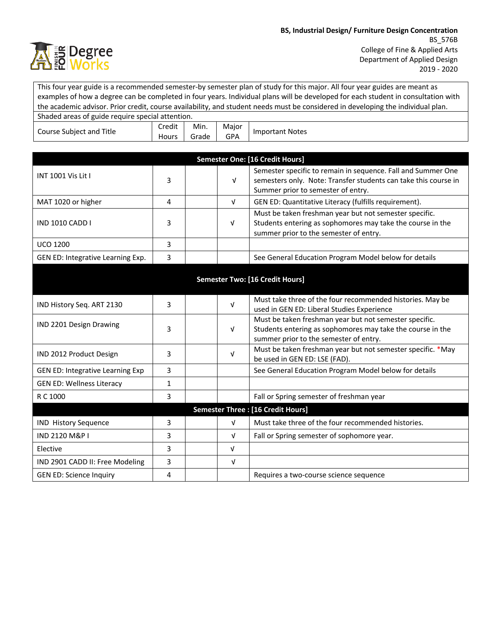

This four year guide is a recommended semester-by semester plan of study for this major. All four year guides are meant as examples of how a degree can be completed in four years. Individual plans will be developed for each student in consultation with the academic advisor. Prior credit, course availability, and student needs must be considered in developing the individual plan. Shaded areas of guide require special attention. Course Subject and Title Credit Min. Major Viajor | Important Notes

Hours

Grade

|                                         |   |                                                                     | Semester One: [16 Credit Hours]                                                                                                                                       |
|-----------------------------------------|---|---------------------------------------------------------------------|-----------------------------------------------------------------------------------------------------------------------------------------------------------------------|
| INT 1001 Vis Lit I                      | 3 | $\sqrt{ }$                                                          | Semester specific to remain in sequence. Fall and Summer One<br>semesters only. Note: Transfer students can take this course in<br>Summer prior to semester of entry. |
| MAT 1020 or higher                      | 4 | GEN ED: Quantitative Literacy (fulfills requirement).<br>$\sqrt{ }$ |                                                                                                                                                                       |
| <b>IND 1010 CADD I</b>                  | 3 | V                                                                   | Must be taken freshman year but not semester specific.<br>Students entering as sophomores may take the course in the<br>summer prior to the semester of entry.        |
| <b>UCO 1200</b>                         | 3 |                                                                     |                                                                                                                                                                       |
| GEN ED: Integrative Learning Exp.       | 3 |                                                                     | See General Education Program Model below for details                                                                                                                 |
|                                         |   |                                                                     | <b>Semester Two: [16 Credit Hours]</b>                                                                                                                                |
| IND History Seq. ART 2130               | 3 | $\sqrt{ }$                                                          | Must take three of the four recommended histories. May be<br>used in GEN ED: Liberal Studies Experience                                                               |
| IND 2201 Design Drawing                 | 3 | $\sqrt{ }$                                                          | Must be taken freshman year but not semester specific.<br>Students entering as sophomores may take the course in the<br>summer prior to the semester of entry.        |
| IND 2012 Product Design                 | 3 | $\sqrt{ }$                                                          | Must be taken freshman year but not semester specific. *May<br>be used in GEN ED: LSE (FAD).                                                                          |
| <b>GEN ED: Integrative Learning Exp</b> | 3 |                                                                     | See General Education Program Model below for details                                                                                                                 |
| <b>GEN ED: Wellness Literacy</b>        | 1 |                                                                     |                                                                                                                                                                       |
| R C 1000                                | 3 |                                                                     | Fall or Spring semester of freshman year                                                                                                                              |
|                                         |   |                                                                     | Semester Three : [16 Credit Hours]                                                                                                                                    |
| <b>IND History Sequence</b>             | 3 | $\sqrt{ }$                                                          | Must take three of the four recommended histories.                                                                                                                    |
| <b>IND 2120 M&amp;P I</b>               | 3 | V                                                                   | Fall or Spring semester of sophomore year.                                                                                                                            |
| Elective                                | 3 | $\sqrt{ }$                                                          |                                                                                                                                                                       |
| IND 2901 CADD II: Free Modeling         | 3 | $\sqrt{ }$                                                          |                                                                                                                                                                       |
| <b>GEN ED: Science Inquiry</b>          | 4 |                                                                     | Requires a two-course science sequence                                                                                                                                |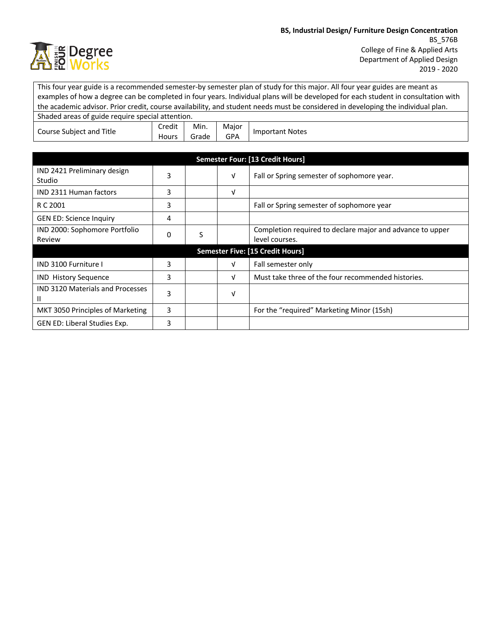

This four year guide is a recommended semester-by semester plan of study for this major. All four year guides are meant as examples of how a degree can be completed in four years. Individual plans will be developed for each student in consultation with the academic advisor. Prior credit, course availability, and student needs must be considered in developing the individual plan. Shaded areas of guide require special attention. Course Subject and Title Credit Hours Min. Grade Major Viajor | Important Notes

| <b>Semester Four: [13 Credit Hours]</b>      |   |   |   |                                                                             |  |  |
|----------------------------------------------|---|---|---|-----------------------------------------------------------------------------|--|--|
| IND 2421 Preliminary design<br><b>Studio</b> | 3 |   | V | Fall or Spring semester of sophomore year.                                  |  |  |
| <b>IND 2311 Human factors</b>                | 3 |   | V |                                                                             |  |  |
| R C 2001                                     | 3 |   |   | Fall or Spring semester of sophomore year                                   |  |  |
| <b>GEN ED: Science Inquiry</b>               | 4 |   |   |                                                                             |  |  |
| IND 2000: Sophomore Portfolio<br>Review      | 0 | S |   | Completion required to declare major and advance to upper<br>level courses. |  |  |
| <b>Semester Five: [15 Credit Hours]</b>      |   |   |   |                                                                             |  |  |
| <b>IND 3100 Furniture I</b>                  | 3 |   | V | Fall semester only                                                          |  |  |
| <b>IND History Sequence</b>                  | 3 |   | V | Must take three of the four recommended histories.                          |  |  |
| <b>IND 3120 Materials and Processes</b><br>Ш | 3 |   | ν |                                                                             |  |  |
| MKT 3050 Principles of Marketing             | 3 |   |   | For the "required" Marketing Minor (15sh)                                   |  |  |
| GEN ED: Liberal Studies Exp.                 | 3 |   |   |                                                                             |  |  |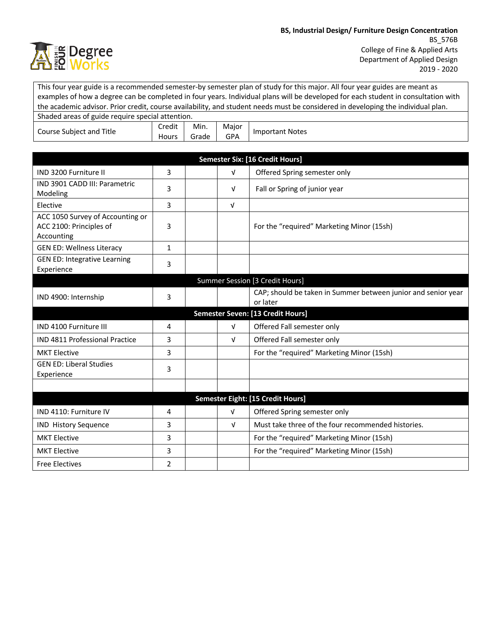

|                                                                           |                 |               |                     | This four year guide is a recommended semester-by semester plan of study for this major. All four year guides are meant as<br>examples of how a degree can be completed in four years. Individual plans will be developed for each student in consultation with |  |  |  |
|---------------------------------------------------------------------------|-----------------|---------------|---------------------|-----------------------------------------------------------------------------------------------------------------------------------------------------------------------------------------------------------------------------------------------------------------|--|--|--|
| Shaded areas of guide require special attention.                          |                 |               |                     | the academic advisor. Prior credit, course availability, and student needs must be considered in developing the individual plan.                                                                                                                                |  |  |  |
| Course Subject and Title                                                  | Credit<br>Hours | Min.<br>Grade | Major<br><b>GPA</b> | <b>Important Notes</b>                                                                                                                                                                                                                                          |  |  |  |
|                                                                           |                 |               |                     |                                                                                                                                                                                                                                                                 |  |  |  |
|                                                                           |                 |               |                     | <b>Semester Six: [16 Credit Hours]</b>                                                                                                                                                                                                                          |  |  |  |
| IND 3200 Furniture II                                                     | 3               |               | $\sqrt{ }$          | Offered Spring semester only                                                                                                                                                                                                                                    |  |  |  |
| IND 3901 CADD III: Parametric<br>Modeling                                 | 3               |               | $\sqrt{ }$          | Fall or Spring of junior year                                                                                                                                                                                                                                   |  |  |  |
| Elective                                                                  | 3               |               | $\sqrt{ }$          |                                                                                                                                                                                                                                                                 |  |  |  |
| ACC 1050 Survey of Accounting or<br>ACC 2100: Principles of<br>Accounting | 3               |               |                     | For the "required" Marketing Minor (15sh)                                                                                                                                                                                                                       |  |  |  |
| <b>GEN ED: Wellness Literacy</b>                                          | $\mathbf{1}$    |               |                     |                                                                                                                                                                                                                                                                 |  |  |  |
| <b>GEN ED: Integrative Learning</b><br>Experience                         | 3               |               |                     |                                                                                                                                                                                                                                                                 |  |  |  |
| Summer Session [3 Credit Hours]                                           |                 |               |                     |                                                                                                                                                                                                                                                                 |  |  |  |
| IND 4900: Internship                                                      | 3               |               |                     | CAP; should be taken in Summer between junior and senior year<br>or later                                                                                                                                                                                       |  |  |  |
| Semester Seven: [13 Credit Hours]                                         |                 |               |                     |                                                                                                                                                                                                                                                                 |  |  |  |
| IND 4100 Furniture III                                                    | 4               |               | $\sqrt{ }$          | Offered Fall semester only                                                                                                                                                                                                                                      |  |  |  |
| <b>IND 4811 Professional Practice</b>                                     | 3               |               | $\sqrt{ }$          | Offered Fall semester only                                                                                                                                                                                                                                      |  |  |  |
| <b>MKT Elective</b>                                                       | 3               |               |                     | For the "required" Marketing Minor (15sh)                                                                                                                                                                                                                       |  |  |  |
| <b>GEN ED: Liberal Studies</b><br>Experience                              | 3               |               |                     |                                                                                                                                                                                                                                                                 |  |  |  |
|                                                                           |                 |               |                     |                                                                                                                                                                                                                                                                 |  |  |  |
|                                                                           |                 |               |                     | Semester Eight: [15 Credit Hours]                                                                                                                                                                                                                               |  |  |  |
| IND 4110: Furniture IV                                                    | 4               |               | $\sqrt{ }$          | Offered Spring semester only                                                                                                                                                                                                                                    |  |  |  |
| <b>IND History Sequence</b>                                               | 3               |               | $\sqrt{ }$          | Must take three of the four recommended histories.                                                                                                                                                                                                              |  |  |  |
| <b>MKT Elective</b>                                                       | 3               |               |                     | For the "required" Marketing Minor (15sh)                                                                                                                                                                                                                       |  |  |  |
| <b>MKT Elective</b>                                                       | 3               |               |                     | For the "required" Marketing Minor (15sh)                                                                                                                                                                                                                       |  |  |  |
| <b>Free Electives</b>                                                     | $\overline{2}$  |               |                     |                                                                                                                                                                                                                                                                 |  |  |  |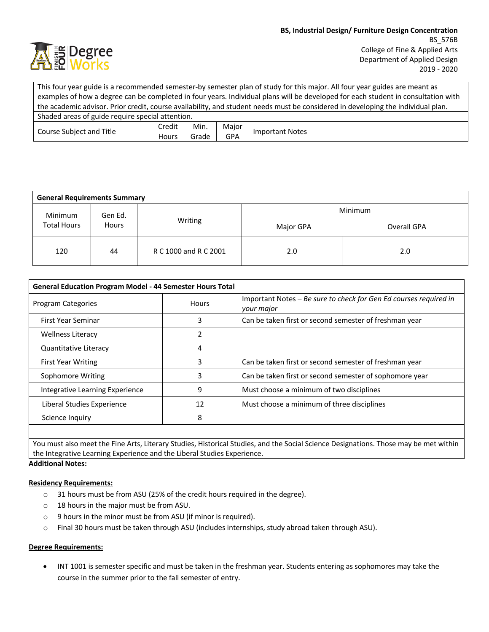

This four year guide is a recommended semester-by semester plan of study for this major. All four year guides are meant as examples of how a degree can be completed in four years. Individual plans will be developed for each student in consultation with the academic advisor. Prior credit, course availability, and student needs must be considered in developing the individual plan. Shaded areas of guide require special attention. Course Subject and Title Credit **Hours** Min. Grade Major GPA | Important Notes

| <b>General Requirements Summary</b> |       |                       |           |             |  |  |
|-------------------------------------|-------|-----------------------|-----------|-------------|--|--|
| <b>Minimum</b><br>Gen Ed.           |       | Minimum               |           |             |  |  |
| <b>Total Hours</b>                  | Hours | Writing               | Major GPA | Overall GPA |  |  |
| 120                                 | 44    | R C 1000 and R C 2001 | 2.0       | 2.0         |  |  |

| <b>General Education Program Model - 44 Semester Hours Total</b> |              |                                                                                 |  |  |
|------------------------------------------------------------------|--------------|---------------------------------------------------------------------------------|--|--|
| <b>Program Categories</b>                                        | <b>Hours</b> | Important Notes – Be sure to check for Gen Ed courses required in<br>your major |  |  |
| <b>First Year Seminar</b>                                        | 3            | Can be taken first or second semester of freshman year                          |  |  |
| <b>Wellness Literacy</b>                                         | 2            |                                                                                 |  |  |
| Quantitative Literacy                                            | 4            |                                                                                 |  |  |
| <b>First Year Writing</b>                                        | 3            | Can be taken first or second semester of freshman year                          |  |  |
| Sophomore Writing                                                | 3            | Can be taken first or second semester of sophomore year                         |  |  |
| Integrative Learning Experience                                  | 9            | Must choose a minimum of two disciplines                                        |  |  |
| Liberal Studies Experience                                       | 12           | Must choose a minimum of three disciplines                                      |  |  |
| Science Inquiry                                                  | 8            |                                                                                 |  |  |
|                                                                  |              |                                                                                 |  |  |

You must also meet the Fine Arts, Literary Studies, Historical Studies, and the Social Science Designations. Those may be met within the Integrative Learning Experience and the Liberal Studies Experience.

**Additional Notes:**

## **Residency Requirements:**

- o 31 hours must be from ASU (25% of the credit hours required in the degree).
- o 18 hours in the major must be from ASU.
- o 9 hours in the minor must be from ASU (if minor is required).
- o Final 30 hours must be taken through ASU (includes internships, study abroad taken through ASU).

## **Degree Requirements:**

• INT 1001 is semester specific and must be taken in the freshman year. Students entering as sophomores may take the course in the summer prior to the fall semester of entry.